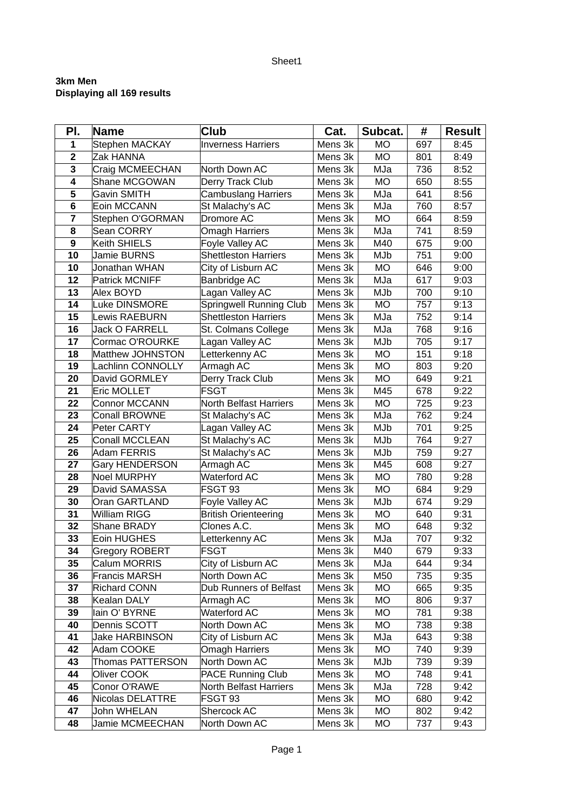## Sheet1

## **3km Men Displaying all 169 results**

| PI.                     | <b>Name</b>              | Club                          | Cat.    | Subcat.   | #   | <b>Result</b> |
|-------------------------|--------------------------|-------------------------------|---------|-----------|-----|---------------|
| $\mathbf{1}$            | Stephen MACKAY           | <b>Inverness Harriers</b>     | Mens 3k | MO        | 697 | 8:45          |
| $\overline{\mathbf{c}}$ | Zak HANNA                |                               | Mens 3k | <b>MO</b> | 801 | 8:49          |
| $\overline{\mathbf{3}}$ | Craig MCMEECHAN          | North Down AC                 | Mens 3k | MJa       | 736 | 8:52          |
| 4                       | Shane MCGOWAN            | Derry Track Club              | Mens 3k | MO        | 650 | 8:55          |
| 5                       | <b>Gavin SMITH</b>       | <b>Cambuslang Harriers</b>    | Mens 3k | MJa       | 641 | 8:56          |
| 6                       | Eoin MCCANN              | St Malachy's AC               | Mens 3k | MJa       | 760 | 8:57          |
| $\overline{\mathbf{z}}$ | Stephen O'GORMAN         | Dromore AC                    | Mens 3k | <b>MO</b> | 664 | 8:59          |
| 8                       | Sean CORRY               | <b>Omagh Harriers</b>         | Mens 3k | MJa       | 741 | 8:59          |
| $\boldsymbol{9}$        | Keith SHIELS             | Foyle Valley AC               | Mens 3k | M40       | 675 | 9:00          |
| 10                      | <b>Jamie BURNS</b>       | <b>Shettleston Harriers</b>   | Mens 3k | MJb       | 751 | 9:00          |
| 10                      | Jonathan WHAN            | City of Lisburn AC            | Mens 3k | <b>MO</b> | 646 | 9:00          |
| 12                      | Patrick MCNIFF           | <b>Banbridge AC</b>           | Mens 3k | MJa       | 617 | 9:03          |
| 13                      | Alex BOYD                | Lagan Valley AC               | Mens 3k | MJb       | 700 | 9:10          |
| 14                      | Luke DINSMORE            | Springwell Running Club       | Mens 3k | <b>MO</b> | 757 | 9:13          |
| 15                      | <b>Lewis RAEBURN</b>     | <b>Shettleston Harriers</b>   | Mens 3k | MJa       | 752 | 9:14          |
| 16                      | <b>Jack O FARRELL</b>    | St. Colmans College           | Mens 3k | MJa       | 768 | 9:16          |
| 17                      | Cormac O'ROURKE          | Lagan Valley AC               | Mens 3k | MJb       | 705 | 9:17          |
| 18                      | Matthew JOHNSTON         | Letterkenny AC                | Mens 3k | MO        | 151 | 9:18          |
| 19                      | <b>Lachlinn CONNOLLY</b> | Armagh AC                     | Mens 3k | <b>MO</b> | 803 | 9:20          |
| 20                      | David GORMLEY            | Derry Track Club              | Mens 3k | <b>MO</b> | 649 | 9:21          |
| 21                      | Eric MOLLET              | <b>FSGT</b>                   | Mens 3k | M45       | 678 | 9:22          |
| 22                      | Connor MCCANN            | North Belfast Harriers        | Mens 3k | <b>MO</b> | 725 | 9:23          |
| 23                      | <b>Conall BROWNE</b>     | St Malachy's AC               | Mens 3k | MJa       | 762 | 9:24          |
| 24                      | Peter CARTY              | Lagan Valley AC               | Mens 3k | MJb       | 701 | 9:25          |
| 25                      | <b>Conall MCCLEAN</b>    | St Malachy's AC               | Mens 3k | MJb       | 764 | 9:27          |
| 26                      | <b>Adam FERRIS</b>       | St Malachy's AC               | Mens 3k | MJb       | 759 | 9:27          |
| 27                      | <b>Gary HENDERSON</b>    | Armagh AC                     | Mens 3k | M45       | 608 | 9:27          |
| 28                      | <b>Noel MURPHY</b>       | <b>Waterford AC</b>           | Mens 3k | <b>MO</b> | 780 | 9:28          |
| 29                      | David SAMASSA            | FSGT 93                       | Mens 3k | <b>MO</b> | 684 | 9:29          |
| 30                      | Oran GARTLAND            | Foyle Valley AC               | Mens 3k | MJb       | 674 | 9:29          |
| 31                      | William RIGG             | <b>British Orienteering</b>   | Mens 3k | <b>MO</b> | 640 | 9:31          |
| 32                      | Shane BRADY              | Clones A.C.                   | Mens 3k | <b>MO</b> | 648 | 9:32          |
| 33                      | <b>Eoin HUGHES</b>       | Letterkenny AC                | Mens 3k | MJa       | 707 | 9:32          |
| 34                      | Gregory ROBERT           | <b>FSGT</b>                   | Mens 3k | M40       | 679 | 9:33          |
| 35                      | Calum MORRIS             | City of Lisburn AC            | Mens 3k | MJa       | 644 | 9:34          |
| 36                      | <b>Francis MARSH</b>     | North Down AC                 | Mens 3k | M50       | 735 | 9:35          |
| 37                      | <b>Richard CONN</b>      | <b>Dub Runners of Belfast</b> | Mens 3k | MO        | 665 | 9:35          |
| 38                      | Kealan DALY              | Armagh AC                     | Mens 3k | MO        | 806 | 9:37          |
| 39                      | lain O' BYRNE            | <b>Waterford AC</b>           | Mens 3k | MO        | 781 | 9:38          |
| 40                      | Dennis SCOTT             | North Down AC                 | Mens 3k | MO        | 738 | 9:38          |
| 41                      | <b>Jake HARBINSON</b>    | City of Lisburn AC            | Mens 3k | MJa       | 643 | 9:38          |
| 42                      | Adam COOKE               | <b>Omagh Harriers</b>         | Mens 3k | MO        | 740 | 9:39          |
| 43                      | <b>Thomas PATTERSON</b>  | North Down AC                 | Mens 3k | MJb       | 739 | 9:39          |
| 44                      | Oliver COOK              | PACE Running Club             | Mens 3k | MO        | 748 | 9:41          |
| 45                      | Conor O'RAWE             | North Belfast Harriers        | Mens 3k | MJa       | 728 | 9:42          |
| 46                      | Nicolas DELATTRE         | FSGT 93                       | Mens 3k | MO        | 680 | 9:42          |
| 47                      | John WHELAN              | Shercock AC                   | Mens 3k | MO        | 802 | 9:42          |
| 48                      | Jamie MCMEECHAN          | North Down AC                 | Mens 3k | MO        | 737 | 9:43          |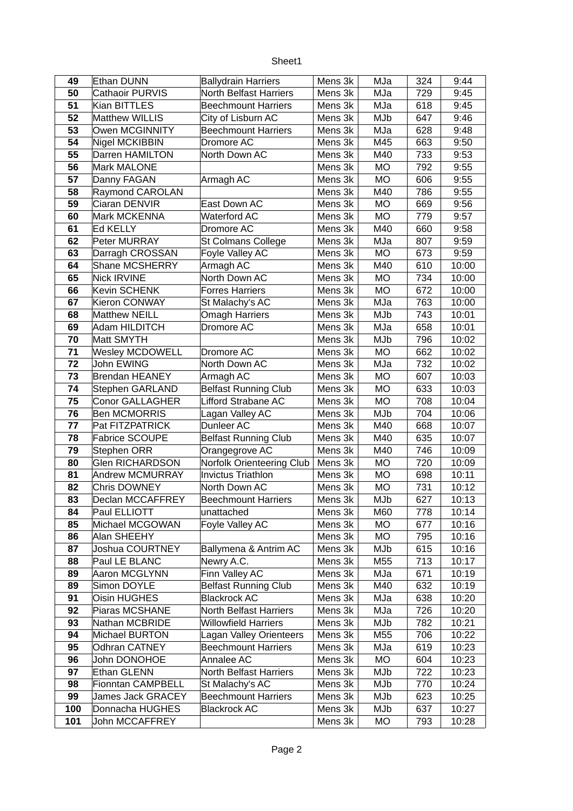| √neet⊹ |
|--------|
|--------|

| 49        | Ethan DUNN                                           | <b>Ballydrain Harriers</b>                    | Mens 3k            | MJa        | 324        | 9:44           |
|-----------|------------------------------------------------------|-----------------------------------------------|--------------------|------------|------------|----------------|
| 50        | Cathaoir PURVIS                                      | <b>North Belfast Harriers</b>                 | Mens 3k            | MJa        | 729        | 9:45           |
| 51        | Kian BITTLES                                         | <b>Beechmount Harriers</b>                    | Mens 3k            | MJa        | 618        | 9:45           |
| 52        | <b>Matthew WILLIS</b>                                | City of Lisburn AC                            | Mens 3k            | MJb        | 647        | 9:46           |
| 53        | Owen MCGINNITY                                       | <b>Beechmount Harriers</b>                    | Mens 3k            | MJa        | 628        | 9:48           |
| 54        | Nigel MCKIBBIN                                       | Dromore AC                                    | Mens 3k            | M45        | 663        | 9:50           |
| 55        | Darren HAMILTON                                      | North Down AC                                 | Mens 3k            | M40        | 733        | 9:53           |
| 56        | Mark MALONE                                          |                                               | Mens 3k            | <b>MO</b>  | 792        | 9:55           |
| 57        | Danny FAGAN                                          | Armagh AC                                     | Mens 3k            | <b>MO</b>  | 606        | 9:55           |
| 58        | Raymond CAROLAN                                      |                                               | Mens 3k            | M40        | 786        | 9:55           |
| 59        | Ciaran DENVIR                                        | East Down AC                                  | Mens 3k            | MO         | 669        | 9:56           |
| 60        | Mark MCKENNA                                         | <b>Waterford AC</b>                           | Mens 3k            | <b>MO</b>  | 779        | 9:57           |
| 61        | Ed KELLY                                             | Dromore AC                                    | Mens 3k            | M40        | 660        | 9:58           |
| 62        | Peter MURRAY                                         | St Colmans College                            | Mens 3k            | MJa        | 807        | 9:59           |
| 63        | Darragh CROSSAN                                      | Foyle Valley AC                               | Mens 3k            | <b>MO</b>  | 673        | 9:59           |
| 64        | Shane MCSHERRY                                       | Armagh AC                                     | Mens 3k            | M40        | 610        | 10:00          |
| 65        | <b>Nick IRVINE</b>                                   | North Down AC                                 | Mens 3k            | <b>MO</b>  | 734        | 10:00          |
| 66        | Kevin SCHENK                                         | <b>Forres Harriers</b>                        | Mens 3k            | <b>MO</b>  | 672        | 10:00          |
| 67        | Kieron CONWAY                                        | St Malachy's AC                               | Mens 3k            | MJa        | 763        | 10:00          |
| 68        | <b>Matthew NEILL</b>                                 | <b>Omagh Harriers</b>                         | Mens 3k            | MJb        | 743        | 10:01          |
| 69        | <b>Adam HILDITCH</b>                                 | Dromore AC                                    | Mens 3k            | MJa        | 658        | 10:01          |
| 70        | Matt SMYTH                                           |                                               | Mens 3k            | MJb        | 796        | 10:02          |
| 71        | <b>Wesley MCDOWELL</b>                               | Dromore AC                                    | Mens 3k            | <b>MO</b>  | 662        | 10:02          |
| 72        | John EWING                                           | North Down AC                                 | Mens 3k            | MJa        | 732        | 10:02          |
| 73        | <b>Brendan HEANEY</b>                                | Armagh AC                                     | Mens 3k            | <b>MO</b>  | 607        | 10:03          |
| 74        | <b>Stephen GARLAND</b>                               | <b>Belfast Running Club</b>                   | Mens 3k            | <b>MO</b>  | 633        | 10:03          |
| 75        | <b>Conor GALLAGHER</b>                               | Lifford Strabane AC                           | Mens 3k            | <b>MO</b>  | 708        | 10:04          |
| 76        | <b>Ben MCMORRIS</b>                                  | Lagan Valley AC                               | Mens 3k            | MJb        | 704        | 10:06          |
| 77        | Pat FITZPATRICK                                      | Dunleer AC                                    | Mens 3k            | M40        | 668        | 10:07          |
| 78        | Fabrice SCOUPE                                       | <b>Belfast Running Club</b>                   | Mens 3k            | M40        | 635        | 10:07          |
| 79        | Stephen ORR                                          | Orangegrove AC                                | Mens 3k            | M40        | 746        | 10:09          |
| 80        | <b>Glen RICHARDSON</b>                               | Norfolk Orienteering Club                     | Mens 3k            | <b>MO</b>  | 720        | 10:09          |
| 81        | <b>Andrew MCMURRAY</b>                               | <b>Invictus Triathlon</b>                     | Mens 3k            | <b>MO</b>  | 698        | 10:11          |
| 82        | Chris DOWNEY                                         | North Down AC                                 | Mens 3k            | MO         | 731        | 10:12          |
| 83        | Declan MCCAFFREY                                     | <b>Beechmount Harriers</b>                    | Mens 3k            | MJb        | 627        | 10:13          |
| 84        | Paul ELLIOTT                                         | unattached                                    | Mens 3k            | M60        | 778        | 10:14          |
| 85        | Michael MCGOWAN                                      | Foyle Valley AC                               | Mens 3k            | MO         | 677        | 10:16          |
| 86        | Alan SHEEHY                                          |                                               | Mens 3k            | MO         | 795        | 10:16          |
| 87        | <b>Joshua COURTNEY</b>                               | Ballymena & Antrim AC                         | Mens 3k            | MJb        | 615        | 10:16          |
| 88        | Paul LE BLANC                                        | Newry A.C.                                    | Mens 3k            | M55        | 713        | 10:17          |
| 89        | Aaron MCGLYNN                                        | Finn Valley AC                                | Mens 3k            | MJa        | 671        | 10:19          |
| 89        | Simon DOYLE                                          | <b>Belfast Running Club</b>                   | Mens 3k            | M40        | 632        | 10:19          |
| 91        | Oisin HUGHES                                         | <b>Blackrock AC</b>                           | Mens 3k            | MJa        | 638        | 10:20          |
| 92        | Piaras MCSHANE                                       | North Belfast Harriers                        | Mens 3k            | MJa        | 726        | 10:20          |
| 93        | Nathan MCBRIDE                                       | <b>Willowfield Harriers</b>                   | Mens 3k            | MJb        | 782        | 10:21          |
| 94        | Michael BURTON                                       | Lagan Valley Orienteers                       | Mens 3k            | M55        | 706        | 10:22          |
| 95        | <b>Odhran CATNEY</b>                                 | <b>Beechmount Harriers</b>                    | Mens 3k            | MJa        | 619        | 10:23          |
| 96        | John DONOHOE                                         | Annalee AC                                    | Mens 3k            | MO         | 604        | 10:23          |
| 97        | Ethan GLENN                                          | North Belfast Harriers                        | Mens 3k            | MJb        | 722        | 10:23          |
| 98        | <b>Fionntan CAMPBELL</b><br><b>James Jack GRACEY</b> | St Malachy's AC<br><b>Beechmount Harriers</b> | Mens 3k            | MJb        | 770        | 10:24          |
| 99<br>100 | Donnacha HUGHES                                      | <b>Blackrock AC</b>                           | Mens 3k<br>Mens 3k | MJb<br>MJb | 623<br>637 | 10:25          |
| 101       | John MCCAFFREY                                       |                                               |                    | MO         | 793        | 10:27<br>10:28 |
|           |                                                      |                                               | Mens 3k            |            |            |                |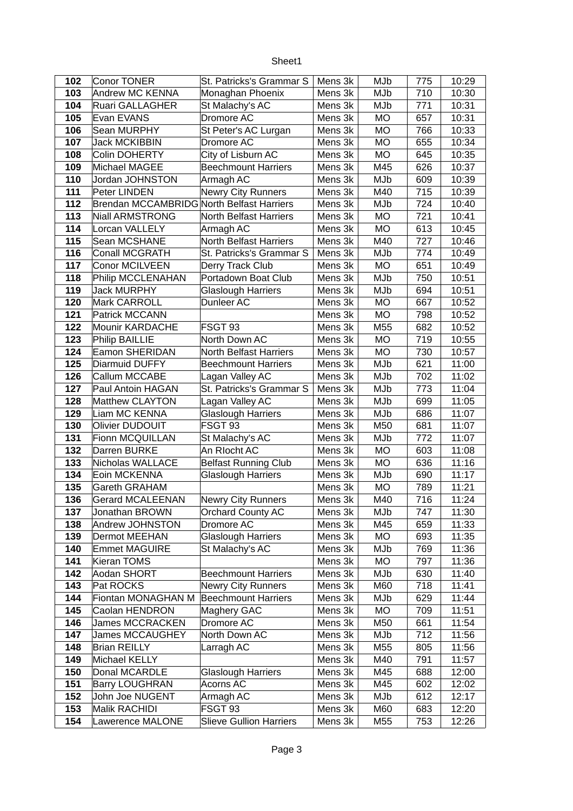| eet ne<br>۱L |
|--------------|
|--------------|

| 102 | <b>Conor TONER</b>                               | St. Patricks's Grammar S       | Mens 3k | MJb       | 775 | 10:29 |
|-----|--------------------------------------------------|--------------------------------|---------|-----------|-----|-------|
| 103 | Andrew MC KENNA                                  | Monaghan Phoenix               | Mens 3k | MJb       | 710 | 10:30 |
| 104 | <b>Ruari GALLAGHER</b>                           | St Malachy's AC                | Mens 3k | MJb       | 771 | 10:31 |
| 105 | Evan EVANS                                       | Dromore AC                     | Mens 3k | <b>MO</b> | 657 | 10:31 |
| 106 | Sean MURPHY                                      | St Peter's AC Lurgan           | Mens 3k | <b>MO</b> | 766 | 10:33 |
| 107 | <b>Jack MCKIBBIN</b>                             | Dromore AC                     | Mens 3k | <b>MO</b> | 655 | 10:34 |
| 108 | <b>Colin DOHERTY</b>                             | City of Lisburn AC             | Mens 3k | <b>MO</b> | 645 | 10:35 |
| 109 | Michael MAGEE                                    | <b>Beechmount Harriers</b>     | Mens 3k | M45       | 626 | 10:37 |
| 110 | Jordan JOHNSTON                                  | Armagh AC                      | Mens 3k | MJb       | 609 | 10:39 |
| 111 | Peter LINDEN                                     | Newry City Runners             | Mens 3k | M40       | 715 | 10:39 |
| 112 | <b>Brendan MCCAMBRIDG North Belfast Harriers</b> |                                | Mens 3k | MJb       | 724 | 10:40 |
| 113 | <b>Niall ARMSTRONG</b>                           | <b>North Belfast Harriers</b>  | Mens 3k | <b>MO</b> | 721 | 10:41 |
| 114 | Lorcan VALLELY                                   | Armagh AC                      | Mens 3k | <b>MO</b> | 613 | 10:45 |
| 115 | Sean MCSHANE                                     | <b>North Belfast Harriers</b>  | Mens 3k | M40       | 727 | 10:46 |
| 116 | <b>Conall MCGRATH</b>                            | St. Patricks's Grammar S       | Mens 3k | MJb       | 774 | 10:49 |
| 117 | <b>Conor MCILVEEN</b>                            | Derry Track Club               | Mens 3k | <b>MO</b> | 651 | 10:49 |
| 118 | Philip MCCLENAHAN                                | Portadown Boat Club            | Mens 3k | MJb       | 750 | 10:51 |
| 119 | <b>Jack MURPHY</b>                               | <b>Glaslough Harriers</b>      | Mens 3k | MJb       | 694 | 10:51 |
| 120 | Mark CARROLL                                     | Dunleer AC                     | Mens 3k | <b>MO</b> | 667 | 10:52 |
| 121 | Patrick MCCANN                                   |                                | Mens 3k | <b>MO</b> | 798 | 10:52 |
| 122 | Mounir KARDACHE                                  | FSGT 93                        | Mens 3k | M55       | 682 | 10:52 |
| 123 | <b>Philip BAILLIE</b>                            | North Down AC                  | Mens 3k | <b>MO</b> | 719 | 10:55 |
| 124 | Eamon SHERIDAN                                   | North Belfast Harriers         | Mens 3k | <b>MO</b> | 730 | 10:57 |
| 125 | Diarmuid DUFFY                                   | <b>Beechmount Harriers</b>     | Mens 3k | MJb       | 621 | 11:00 |
| 126 | Callum MCCABE                                    | Lagan Valley AC                | Mens 3k | MJb       | 702 | 11:02 |
| 127 | Paul Antoin HAGAN                                | St. Patricks's Grammar S       | Mens 3k | MJb       | 773 | 11:04 |
| 128 | <b>Matthew CLAYTON</b>                           | Lagan Valley AC                | Mens 3k | MJb       | 699 | 11:05 |
| 129 | Liam MC KENNA                                    | <b>Glaslough Harriers</b>      | Mens 3k | MJb       | 686 | 11:07 |
| 130 | Olivier DUDOUIT                                  | FSGT 93                        | Mens 3k | M50       | 681 | 11:07 |
| 131 | Fionn MCQUILLAN                                  | St Malachy's AC                | Mens 3k | MJb       | 772 | 11:07 |
| 132 | Darren BURKE                                     | An RIocht AC                   | Mens 3k | <b>MO</b> | 603 | 11:08 |
| 133 | Nicholas WALLACE                                 | <b>Belfast Running Club</b>    | Mens 3k | <b>MO</b> | 636 | 11:16 |
| 134 | Eoin MCKENNA                                     | <b>Glaslough Harriers</b>      | Mens 3k | MJb       | 690 | 11:17 |
| 135 | <b>Gareth GRAHAM</b>                             |                                | Mens 3k | <b>MO</b> | 789 | 11:21 |
| 136 | <b>Gerard MCALEENAN</b>                          | <b>Newry City Runners</b>      | Mens 3k | M40       | 716 | 11:24 |
| 137 | Jonathan BROWN                                   | <b>Orchard County AC</b>       | Mens 3k | MJb       | 747 | 11:30 |
| 138 | Andrew JOHNSTON                                  | Dromore AC                     | Mens 3k | M45       | 659 | 11:33 |
| 139 | Dermot MEEHAN                                    | <b>Glaslough Harriers</b>      | Mens 3k | MO        | 693 | 11:35 |
| 140 | <b>Emmet MAGUIRE</b>                             | St Malachy's AC                | Mens 3k | MJb       | 769 | 11:36 |
| 141 | Kieran TOMS                                      |                                | Mens 3k | MO        | 797 | 11:36 |
| 142 | Aodan SHORT                                      | <b>Beechmount Harriers</b>     | Mens 3k | MJb       | 630 | 11:40 |
| 143 | Pat ROCKS                                        | <b>Newry City Runners</b>      | Mens 3k | M60       | 718 | 11:41 |
| 144 | Fiontan MONAGHAN M                               | <b>Beechmount Harriers</b>     | Mens 3k | MJb       | 629 | 11:44 |
| 145 | Caolan HENDRON                                   | Maghery GAC                    | Mens 3k | MO        | 709 | 11:51 |
| 146 | <b>James MCCRACKEN</b>                           | Dromore AC                     | Mens 3k | M50       | 661 | 11:54 |
| 147 | James MCCAUGHEY                                  | North Down AC                  | Mens 3k | MJb       | 712 | 11:56 |
| 148 | <b>Brian REILLY</b>                              | Larragh AC                     | Mens 3k | M55       | 805 | 11:56 |
| 149 | Michael KELLY                                    |                                | Mens 3k | M40       | 791 | 11:57 |
| 150 | Donal MCARDLE                                    | <b>Glaslough Harriers</b>      | Mens 3k | M45       | 688 | 12:00 |
| 151 | <b>Barry LOUGHRAN</b>                            | Acorns AC                      | Mens 3k | M45       | 602 | 12:02 |
| 152 | John Joe NUGENT                                  | Armagh AC                      | Mens 3k | MJb       | 612 | 12:17 |
| 153 | Malik RACHIDI                                    | FSGT 93                        | Mens 3k | M60       | 683 | 12:20 |
| 154 | Lawerence MALONE                                 | <b>Slieve Gullion Harriers</b> | Mens 3k | M55       | 753 | 12:26 |